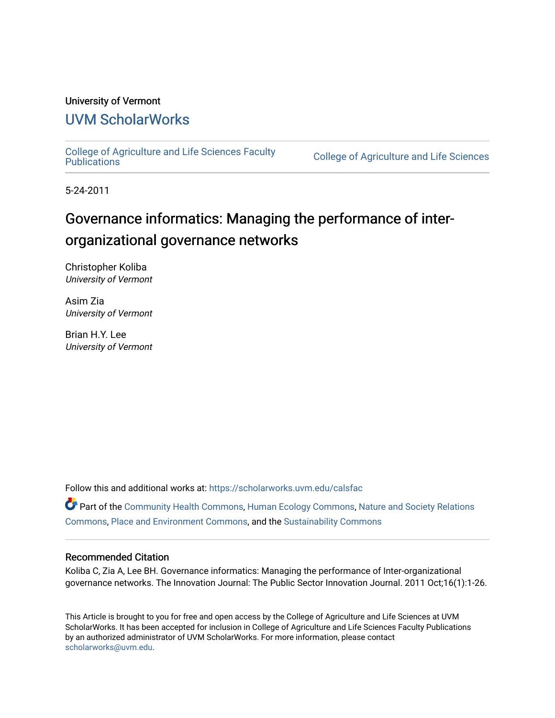## University of Vermont

## [UVM ScholarWorks](https://scholarworks.uvm.edu/)

[College of Agriculture and Life Sciences Faculty](https://scholarworks.uvm.edu/calsfac) 

**College of Agriculture and Life Sciences** 

5-24-2011

# Governance informatics: Managing the performance of interorganizational governance networks

Christopher Koliba University of Vermont

Asim Zia University of Vermont

Brian H.Y. Lee University of Vermont

Follow this and additional works at: [https://scholarworks.uvm.edu/calsfac](https://scholarworks.uvm.edu/calsfac?utm_source=scholarworks.uvm.edu%2Fcalsfac%2F171&utm_medium=PDF&utm_campaign=PDFCoverPages)

Part of the [Community Health Commons,](http://network.bepress.com/hgg/discipline/714?utm_source=scholarworks.uvm.edu%2Fcalsfac%2F171&utm_medium=PDF&utm_campaign=PDFCoverPages) [Human Ecology Commons](http://network.bepress.com/hgg/discipline/1335?utm_source=scholarworks.uvm.edu%2Fcalsfac%2F171&utm_medium=PDF&utm_campaign=PDFCoverPages), [Nature and Society Relations](http://network.bepress.com/hgg/discipline/357?utm_source=scholarworks.uvm.edu%2Fcalsfac%2F171&utm_medium=PDF&utm_campaign=PDFCoverPages)  [Commons](http://network.bepress.com/hgg/discipline/357?utm_source=scholarworks.uvm.edu%2Fcalsfac%2F171&utm_medium=PDF&utm_campaign=PDFCoverPages), [Place and Environment Commons](http://network.bepress.com/hgg/discipline/424?utm_source=scholarworks.uvm.edu%2Fcalsfac%2F171&utm_medium=PDF&utm_campaign=PDFCoverPages), and the [Sustainability Commons](http://network.bepress.com/hgg/discipline/1031?utm_source=scholarworks.uvm.edu%2Fcalsfac%2F171&utm_medium=PDF&utm_campaign=PDFCoverPages)

#### Recommended Citation

Koliba C, Zia A, Lee BH. Governance informatics: Managing the performance of Inter-organizational governance networks. The Innovation Journal: The Public Sector Innovation Journal. 2011 Oct;16(1):1-26.

This Article is brought to you for free and open access by the College of Agriculture and Life Sciences at UVM ScholarWorks. It has been accepted for inclusion in College of Agriculture and Life Sciences Faculty Publications by an authorized administrator of UVM ScholarWorks. For more information, please contact [scholarworks@uvm.edu](mailto:scholarworks@uvm.edu).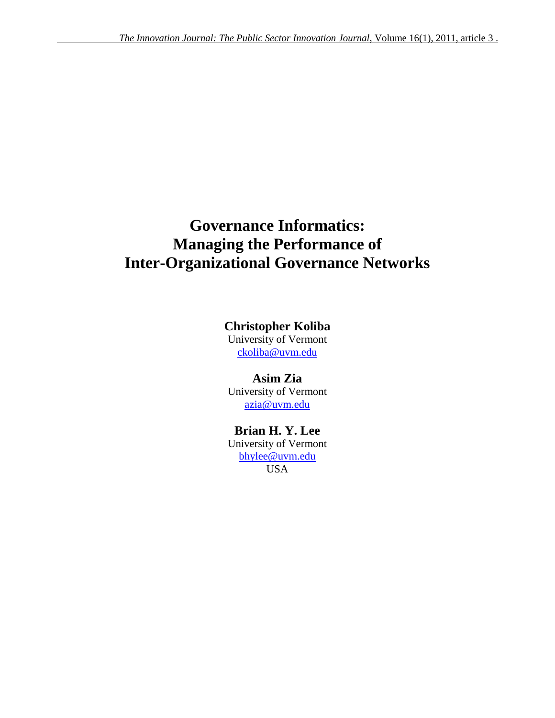# **Governance Informatics: Managing the Performance of Inter-Organizational Governance Networks**

## **Christopher Koliba**

University of Vermont [ckoliba@uvm.edu](mailto:ckoliba@uvm.edu)

**Asim Zia** University of Vermont [azia@uvm.edu](mailto:azia@uvm.edu)

## **Brian H. Y. Lee** University of Vermont [bhylee@uvm.edu](mailto:bhylee@uvm.edu) USA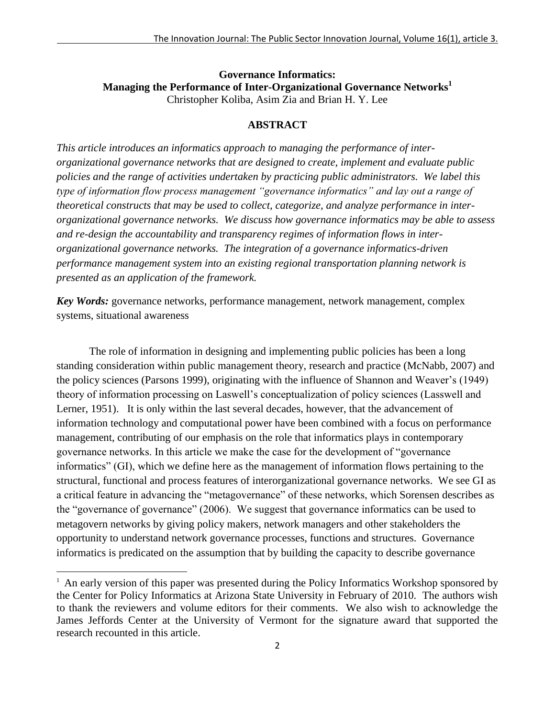## **Governance Informatics: Managing the Performance of Inter-Organizational Governance Networks<sup>1</sup>** Christopher Koliba, Asim Zia and Brian H. Y. Lee

### **ABSTRACT**

*This article introduces an informatics approach to managing the performance of interorganizational governance networks that are designed to create, implement and evaluate public policies and the range of activities undertaken by practicing public administrators. We label this type of information flow process management "governance informatics" and lay out a range of theoretical constructs that may be used to collect, categorize, and analyze performance in interorganizational governance networks. We discuss how governance informatics may be able to assess and re-design the accountability and transparency regimes of information flows in interorganizational governance networks. The integration of a governance informatics-driven performance management system into an existing regional transportation planning network is presented as an application of the framework.*

*Key Words:* governance networks, performance management, network management, complex systems, situational awareness

The role of information in designing and implementing public policies has been a long standing consideration within public management theory, research and practice (McNabb, 2007) and the policy sciences (Parsons 1999), originating with the influence of Shannon and Weaver's (1949) theory of information processing on Laswell's conceptualization of policy sciences (Lasswell and Lerner, 1951). It is only within the last several decades, however, that the advancement of information technology and computational power have been combined with a focus on performance management, contributing of our emphasis on the role that informatics plays in contemporary governance networks. In this article we make the case for the development of "governance" informatics" (GI), which we define here as the management of information flows pertaining to the structural, functional and process features of interorganizational governance networks. We see GI as a critical feature in advancing the "metagovernance" of these networks, which Sorensen describes as the "governance of governance" (2006). We suggest that governance informatics can be used to metagovern networks by giving policy makers, network managers and other stakeholders the opportunity to understand network governance processes, functions and structures. Governance informatics is predicated on the assumption that by building the capacity to describe governance

 $\overline{a}$ 

<sup>&</sup>lt;sup>1</sup> An early version of this paper was presented during the Policy Informatics Workshop sponsored by the Center for Policy Informatics at Arizona State University in February of 2010. The authors wish to thank the reviewers and volume editors for their comments. We also wish to acknowledge the James Jeffords Center at the University of Vermont for the signature award that supported the research recounted in this article.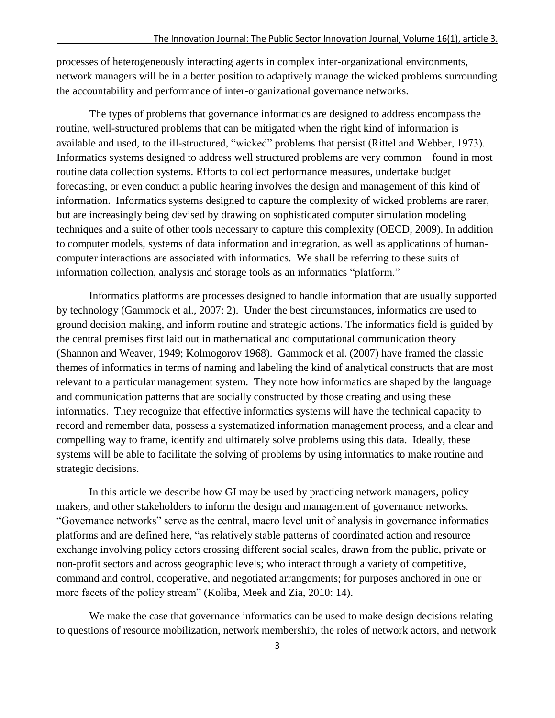processes of heterogeneously interacting agents in complex inter-organizational environments, network managers will be in a better position to adaptively manage the wicked problems surrounding the accountability and performance of inter-organizational governance networks.

The types of problems that governance informatics are designed to address encompass the routine, well-structured problems that can be mitigated when the right kind of information is available and used, to the ill-structured, "wicked" problems that persist (Rittel and Webber, 1973). Informatics systems designed to address well structured problems are very common—found in most routine data collection systems. Efforts to collect performance measures, undertake budget forecasting, or even conduct a public hearing involves the design and management of this kind of information. Informatics systems designed to capture the complexity of wicked problems are rarer, but are increasingly being devised by drawing on sophisticated computer simulation modeling techniques and a suite of other tools necessary to capture this complexity (OECD, 2009). In addition to computer models, systems of data information and integration, as well as applications of humancomputer interactions are associated with informatics. We shall be referring to these suits of information collection, analysis and storage tools as an informatics "platform."

Informatics platforms are processes designed to handle information that are usually supported by technology (Gammock et al., 2007: 2). Under the best circumstances, informatics are used to ground decision making, and inform routine and strategic actions. The informatics field is guided by the central premises first laid out in mathematical and computational communication theory (Shannon and Weaver, 1949; Kolmogorov 1968). Gammock et al. (2007) have framed the classic themes of informatics in terms of naming and labeling the kind of analytical constructs that are most relevant to a particular management system. They note how informatics are shaped by the language and communication patterns that are socially constructed by those creating and using these informatics. They recognize that effective informatics systems will have the technical capacity to record and remember data, possess a systematized information management process, and a clear and compelling way to frame, identify and ultimately solve problems using this data. Ideally, these systems will be able to facilitate the solving of problems by using informatics to make routine and strategic decisions.

In this article we describe how GI may be used by practicing network managers, policy makers, and other stakeholders to inform the design and management of governance networks. ―Governance networks‖ serve as the central, macro level unit of analysis in governance informatics platforms and are defined here, "as relatively stable patterns of coordinated action and resource exchange involving policy actors crossing different social scales, drawn from the public, private or non-profit sectors and across geographic levels; who interact through a variety of competitive, command and control, cooperative, and negotiated arrangements; for purposes anchored in one or more facets of the policy stream" (Koliba, Meek and Zia, 2010: 14).

We make the case that governance informatics can be used to make design decisions relating to questions of resource mobilization, network membership, the roles of network actors, and network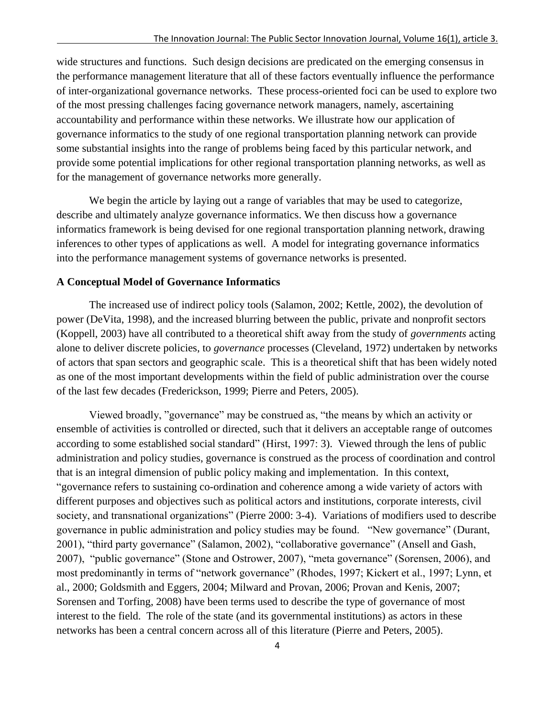wide structures and functions. Such design decisions are predicated on the emerging consensus in the performance management literature that all of these factors eventually influence the performance of inter-organizational governance networks. These process-oriented foci can be used to explore two of the most pressing challenges facing governance network managers, namely, ascertaining accountability and performance within these networks. We illustrate how our application of governance informatics to the study of one regional transportation planning network can provide some substantial insights into the range of problems being faced by this particular network, and provide some potential implications for other regional transportation planning networks, as well as for the management of governance networks more generally.

We begin the article by laying out a range of variables that may be used to categorize, describe and ultimately analyze governance informatics. We then discuss how a governance informatics framework is being devised for one regional transportation planning network, drawing inferences to other types of applications as well. A model for integrating governance informatics into the performance management systems of governance networks is presented.

### **A Conceptual Model of Governance Informatics**

The increased use of indirect policy tools (Salamon, 2002; Kettle, 2002), the devolution of power (DeVita, 1998), and the increased blurring between the public, private and nonprofit sectors (Koppell, 2003) have all contributed to a theoretical shift away from the study of *governments* acting alone to deliver discrete policies, to *governance* processes (Cleveland, 1972) undertaken by networks of actors that span sectors and geographic scale. This is a theoretical shift that has been widely noted as one of the most important developments within the field of public administration over the course of the last few decades (Frederickson, 1999; Pierre and Peters, 2005).

Viewed broadly, "governance" may be construed as, "the means by which an activity or ensemble of activities is controlled or directed, such that it delivers an acceptable range of outcomes according to some established social standard" (Hirst, 1997: 3). Viewed through the lens of public administration and policy studies, governance is construed as the process of coordination and control that is an integral dimension of public policy making and implementation. In this context, ―governance refers to sustaining co-ordination and coherence among a wide variety of actors with different purposes and objectives such as political actors and institutions, corporate interests, civil society, and transnational organizations" (Pierre 2000: 3-4). Variations of modifiers used to describe governance in public administration and policy studies may be found. "New governance" (Durant, 2001), "third party governance" (Salamon, 2002), "collaborative governance" (Ansell and Gash, 2007), "public governance" (Stone and Ostrower, 2007), "meta governance" (Sorensen, 2006), and most predominantly in terms of "network governance" (Rhodes, 1997; Kickert et al., 1997; Lynn, et al., 2000; Goldsmith and Eggers, 2004; Milward and Provan, 2006; Provan and Kenis, 2007; Sorensen and Torfing, 2008) have been terms used to describe the type of governance of most interest to the field. The role of the state (and its governmental institutions) as actors in these networks has been a central concern across all of this literature (Pierre and Peters, 2005).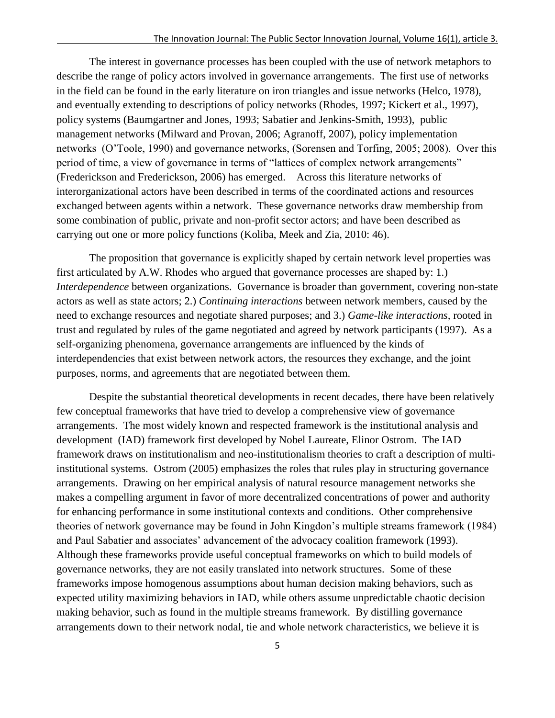The interest in governance processes has been coupled with the use of network metaphors to describe the range of policy actors involved in governance arrangements. The first use of networks in the field can be found in the early literature on iron triangles and issue networks (Helco, 1978), and eventually extending to descriptions of policy networks (Rhodes, 1997; Kickert et al., 1997), policy systems (Baumgartner and Jones, 1993; Sabatier and Jenkins-Smith, 1993), public management networks (Milward and Provan, 2006; Agranoff, 2007), policy implementation networks (O'Toole, 1990) and governance networks, (Sorensen and Torfing, 2005; 2008). Over this period of time, a view of governance in terms of "lattices of complex network arrangements" (Frederickson and Frederickson, 2006) has emerged. Across this literature networks of interorganizational actors have been described in terms of the coordinated actions and resources exchanged between agents within a network. These governance networks draw membership from some combination of public, private and non-profit sector actors; and have been described as carrying out one or more policy functions (Koliba, Meek and Zia, 2010: 46).

The proposition that governance is explicitly shaped by certain network level properties was first articulated by A.W. Rhodes who argued that governance processes are shaped by: 1.) *Interdependence* between organizations. Governance is broader than government, covering non-state actors as well as state actors; 2.) *Continuing interactions* between network members, caused by the need to exchange resources and negotiate shared purposes; and 3.) *Game-like interactions,* rooted in trust and regulated by rules of the game negotiated and agreed by network participants (1997). As a self-organizing phenomena, governance arrangements are influenced by the kinds of interdependencies that exist between network actors, the resources they exchange, and the joint purposes, norms, and agreements that are negotiated between them.

Despite the substantial theoretical developments in recent decades, there have been relatively few conceptual frameworks that have tried to develop a comprehensive view of governance arrangements. The most widely known and respected framework is the institutional analysis and development (IAD) framework first developed by Nobel Laureate, Elinor Ostrom. The IAD framework draws on institutionalism and neo-institutionalism theories to craft a description of multiinstitutional systems. Ostrom (2005) emphasizes the roles that rules play in structuring governance arrangements. Drawing on her empirical analysis of natural resource management networks she makes a compelling argument in favor of more decentralized concentrations of power and authority for enhancing performance in some institutional contexts and conditions. Other comprehensive theories of network governance may be found in John Kingdon's multiple streams framework (1984) and Paul Sabatier and associates' advancement of the advocacy coalition framework (1993). Although these frameworks provide useful conceptual frameworks on which to build models of governance networks, they are not easily translated into network structures. Some of these frameworks impose homogenous assumptions about human decision making behaviors, such as expected utility maximizing behaviors in IAD, while others assume unpredictable chaotic decision making behavior, such as found in the multiple streams framework. By distilling governance arrangements down to their network nodal, tie and whole network characteristics, we believe it is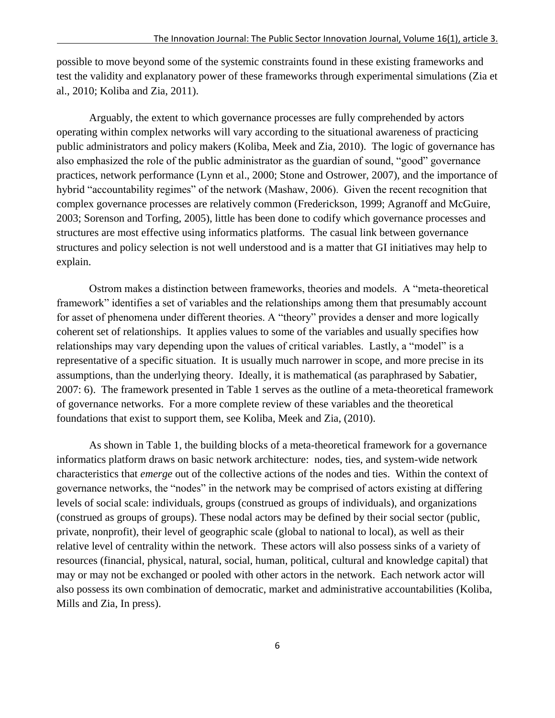possible to move beyond some of the systemic constraints found in these existing frameworks and test the validity and explanatory power of these frameworks through experimental simulations (Zia et al., 2010; Koliba and Zia, 2011).

Arguably, the extent to which governance processes are fully comprehended by actors operating within complex networks will vary according to the situational awareness of practicing public administrators and policy makers (Koliba, Meek and Zia, 2010). The logic of governance has also emphasized the role of the public administrator as the guardian of sound, "good" governance practices, network performance (Lynn et al., 2000; Stone and Ostrower, 2007), and the importance of hybrid "accountability regimes" of the network (Mashaw, 2006). Given the recent recognition that complex governance processes are relatively common (Frederickson, 1999; Agranoff and McGuire, 2003; Sorenson and Torfing, 2005), little has been done to codify which governance processes and structures are most effective using informatics platforms. The casual link between governance structures and policy selection is not well understood and is a matter that GI initiatives may help to explain.

Ostrom makes a distinction between frameworks, theories and models. A "meta-theoretical framework" identifies a set of variables and the relationships among them that presumably account for asset of phenomena under different theories. A "theory" provides a denser and more logically coherent set of relationships. It applies values to some of the variables and usually specifies how relationships may vary depending upon the values of critical variables. Lastly, a "model" is a representative of a specific situation. It is usually much narrower in scope, and more precise in its assumptions, than the underlying theory. Ideally, it is mathematical (as paraphrased by Sabatier, 2007: 6). The framework presented in Table 1 serves as the outline of a meta-theoretical framework of governance networks. For a more complete review of these variables and the theoretical foundations that exist to support them, see Koliba, Meek and Zia, (2010).

As shown in Table 1, the building blocks of a meta-theoretical framework for a governance informatics platform draws on basic network architecture: nodes, ties, and system-wide network characteristics that *emerge* out of the collective actions of the nodes and ties. Within the context of governance networks, the "nodes" in the network may be comprised of actors existing at differing levels of social scale: individuals, groups (construed as groups of individuals), and organizations (construed as groups of groups). These nodal actors may be defined by their social sector (public, private, nonprofit), their level of geographic scale (global to national to local), as well as their relative level of centrality within the network. These actors will also possess sinks of a variety of resources (financial, physical, natural, social, human, political, cultural and knowledge capital) that may or may not be exchanged or pooled with other actors in the network. Each network actor will also possess its own combination of democratic, market and administrative accountabilities (Koliba, Mills and Zia, In press).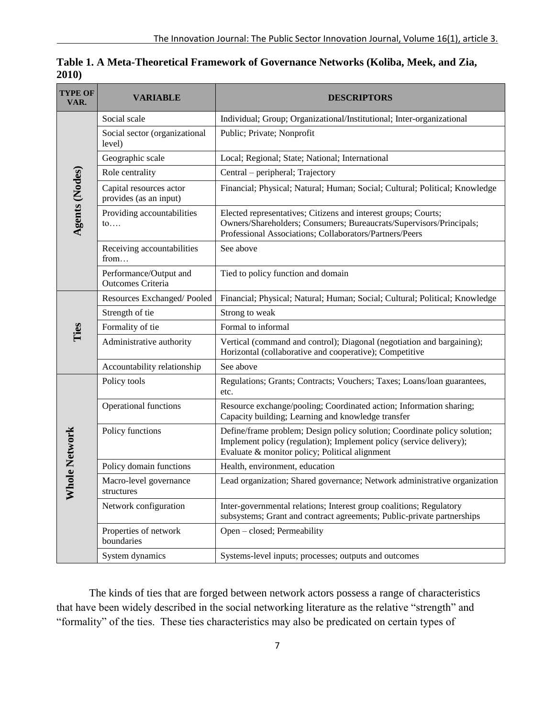| <b>TYPE OF</b><br>VAR. | <b>VARIABLE</b>                                   | <b>DESCRIPTORS</b>                                                                                                                                                                                 |
|------------------------|---------------------------------------------------|----------------------------------------------------------------------------------------------------------------------------------------------------------------------------------------------------|
| Agents (Nodes)         | Social scale                                      | Individual; Group; Organizational/Institutional; Inter-organizational                                                                                                                              |
|                        | Social sector (organizational<br>level)           | Public; Private; Nonprofit                                                                                                                                                                         |
|                        | Geographic scale                                  | Local; Regional; State; National; International                                                                                                                                                    |
|                        | Role centrality                                   | Central – peripheral; Trajectory                                                                                                                                                                   |
|                        | Capital resources actor<br>provides (as an input) | Financial; Physical; Natural; Human; Social; Cultural; Political; Knowledge                                                                                                                        |
|                        | Providing accountabilities<br>$\mathfrak{to}$     | Elected representatives; Citizens and interest groups; Courts;<br>Owners/Shareholders; Consumers; Bureaucrats/Supervisors/Principals;<br>Professional Associations; Collaborators/Partners/Peers   |
|                        | Receiving accountabilities<br>from                | See above                                                                                                                                                                                          |
|                        | Performance/Output and<br>Outcomes Criteria       | Tied to policy function and domain                                                                                                                                                                 |
| Ties                   | Resources Exchanged/Pooled                        | Financial; Physical; Natural; Human; Social; Cultural; Political; Knowledge                                                                                                                        |
|                        | Strength of tie                                   | Strong to weak                                                                                                                                                                                     |
|                        | Formality of tie                                  | Formal to informal                                                                                                                                                                                 |
|                        | Administrative authority                          | Vertical (command and control); Diagonal (negotiation and bargaining);<br>Horizontal (collaborative and cooperative); Competitive                                                                  |
|                        | Accountability relationship                       | See above                                                                                                                                                                                          |
| hole Network<br>⋝      | Policy tools                                      | Regulations; Grants; Contracts; Vouchers; Taxes; Loans/loan guarantees,<br>etc.                                                                                                                    |
|                        | Operational functions                             | Resource exchange/pooling; Coordinated action; Information sharing;<br>Capacity building; Learning and knowledge transfer                                                                          |
|                        | Policy functions                                  | Define/frame problem; Design policy solution; Coordinate policy solution;<br>Implement policy (regulation); Implement policy (service delivery);<br>Evaluate & monitor policy; Political alignment |
|                        | Policy domain functions                           | Health, environment, education                                                                                                                                                                     |
|                        | Macro-level governance<br>structures              | Lead organization; Shared governance; Network administrative organization                                                                                                                          |
|                        | Network configuration                             | Inter-governmental relations; Interest group coalitions; Regulatory<br>subsystems; Grant and contract agreements; Public-private partnerships                                                      |
|                        | Properties of network<br>boundaries               | Open - closed; Permeability                                                                                                                                                                        |
|                        | System dynamics                                   | Systems-level inputs; processes; outputs and outcomes                                                                                                                                              |

**Table 1. A Meta-Theoretical Framework of Governance Networks (Koliba, Meek, and Zia, 2010)**

The kinds of ties that are forged between network actors possess a range of characteristics that have been widely described in the social networking literature as the relative "strength" and "formality" of the ties. These ties characteristics may also be predicated on certain types of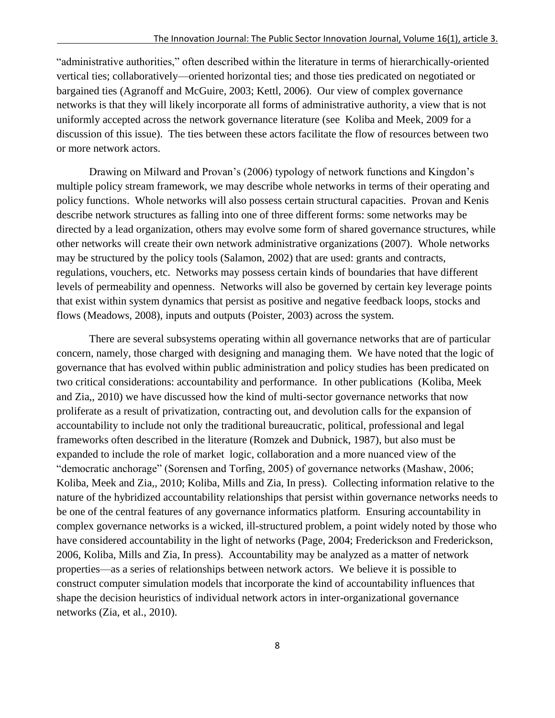"administrative authorities," often described within the literature in terms of hierarchically-oriented vertical ties; collaboratively—oriented horizontal ties; and those ties predicated on negotiated or bargained ties (Agranoff and McGuire, 2003; Kettl, 2006). Our view of complex governance networks is that they will likely incorporate all forms of administrative authority, a view that is not uniformly accepted across the network governance literature (see Koliba and Meek, 2009 for a discussion of this issue). The ties between these actors facilitate the flow of resources between two or more network actors.

Drawing on Milward and Provan's (2006) typology of network functions and Kingdon's multiple policy stream framework, we may describe whole networks in terms of their operating and policy functions. Whole networks will also possess certain structural capacities. Provan and Kenis describe network structures as falling into one of three different forms: some networks may be directed by a lead organization, others may evolve some form of shared governance structures, while other networks will create their own network administrative organizations (2007). Whole networks may be structured by the policy tools (Salamon, 2002) that are used: grants and contracts, regulations, vouchers, etc. Networks may possess certain kinds of boundaries that have different levels of permeability and openness. Networks will also be governed by certain key leverage points that exist within system dynamics that persist as positive and negative feedback loops, stocks and flows (Meadows, 2008), inputs and outputs (Poister, 2003) across the system.

There are several subsystems operating within all governance networks that are of particular concern, namely, those charged with designing and managing them. We have noted that the logic of governance that has evolved within public administration and policy studies has been predicated on two critical considerations: accountability and performance. In other publications (Koliba, Meek and Zia,, 2010) we have discussed how the kind of multi-sector governance networks that now proliferate as a result of privatization, contracting out, and devolution calls for the expansion of accountability to include not only the traditional bureaucratic, political, professional and legal frameworks often described in the literature (Romzek and Dubnick, 1987), but also must be expanded to include the role of market logic, collaboration and a more nuanced view of the "democratic anchorage" (Sorensen and Torfing, 2005) of governance networks (Mashaw, 2006; Koliba, Meek and Zia,, 2010; Koliba, Mills and Zia, In press). Collecting information relative to the nature of the hybridized accountability relationships that persist within governance networks needs to be one of the central features of any governance informatics platform. Ensuring accountability in complex governance networks is a wicked, ill-structured problem, a point widely noted by those who have considered accountability in the light of networks (Page, 2004; Frederickson and Frederickson, 2006, Koliba, Mills and Zia, In press). Accountability may be analyzed as a matter of network properties—as a series of relationships between network actors. We believe it is possible to construct computer simulation models that incorporate the kind of accountability influences that shape the decision heuristics of individual network actors in inter-organizational governance networks (Zia, et al., 2010).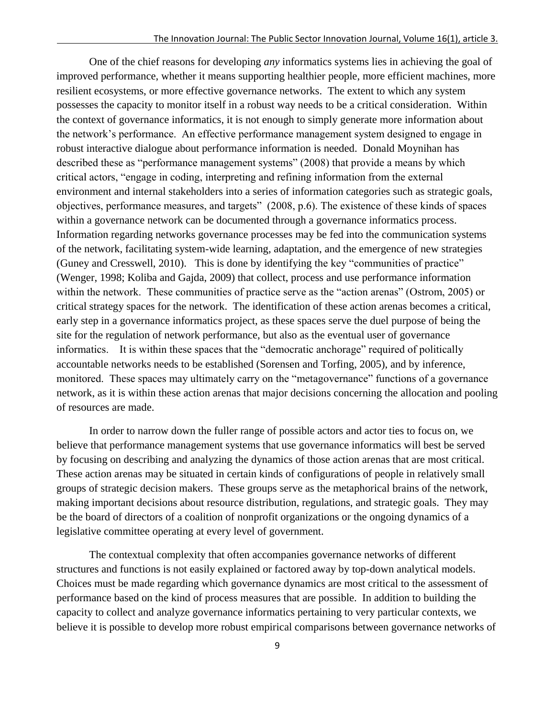One of the chief reasons for developing *any* informatics systems lies in achieving the goal of improved performance, whether it means supporting healthier people, more efficient machines, more resilient ecosystems, or more effective governance networks. The extent to which any system possesses the capacity to monitor itself in a robust way needs to be a critical consideration. Within the context of governance informatics, it is not enough to simply generate more information about the network's performance. An effective performance management system designed to engage in robust interactive dialogue about performance information is needed. Donald Moynihan has described these as "performance management systems" (2008) that provide a means by which critical actors, "engage in coding, interpreting and refining information from the external environment and internal stakeholders into a series of information categories such as strategic goals, objectives, performance measures, and targets‖ (2008, p.6). The existence of these kinds of spaces within a governance network can be documented through a governance informatics process. Information regarding networks governance processes may be fed into the communication systems of the network, facilitating system-wide learning, adaptation, and the emergence of new strategies (Guney and Cresswell, 2010). This is done by identifying the key "communities of practice" (Wenger, 1998; Koliba and Gajda, 2009) that collect, process and use performance information within the network. These communities of practice serve as the "action arenas" (Ostrom, 2005) or critical strategy spaces for the network. The identification of these action arenas becomes a critical, early step in a governance informatics project, as these spaces serve the duel purpose of being the site for the regulation of network performance, but also as the eventual user of governance informatics. It is within these spaces that the "democratic anchorage" required of politically accountable networks needs to be established (Sorensen and Torfing, 2005), and by inference, monitored. These spaces may ultimately carry on the "metagovernance" functions of a governance network, as it is within these action arenas that major decisions concerning the allocation and pooling of resources are made.

In order to narrow down the fuller range of possible actors and actor ties to focus on, we believe that performance management systems that use governance informatics will best be served by focusing on describing and analyzing the dynamics of those action arenas that are most critical. These action arenas may be situated in certain kinds of configurations of people in relatively small groups of strategic decision makers. These groups serve as the metaphorical brains of the network, making important decisions about resource distribution, regulations, and strategic goals. They may be the board of directors of a coalition of nonprofit organizations or the ongoing dynamics of a legislative committee operating at every level of government.

The contextual complexity that often accompanies governance networks of different structures and functions is not easily explained or factored away by top-down analytical models. Choices must be made regarding which governance dynamics are most critical to the assessment of performance based on the kind of process measures that are possible. In addition to building the capacity to collect and analyze governance informatics pertaining to very particular contexts, we believe it is possible to develop more robust empirical comparisons between governance networks of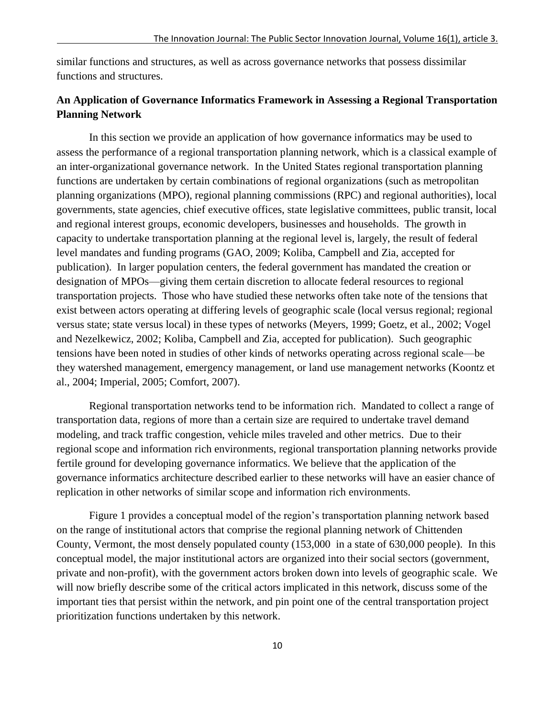similar functions and structures, as well as across governance networks that possess dissimilar functions and structures.

## **An Application of Governance Informatics Framework in Assessing a Regional Transportation Planning Network**

In this section we provide an application of how governance informatics may be used to assess the performance of a regional transportation planning network, which is a classical example of an inter-organizational governance network. In the United States regional transportation planning functions are undertaken by certain combinations of regional organizations (such as metropolitan planning organizations (MPO), regional planning commissions (RPC) and regional authorities), local governments, state agencies, chief executive offices, state legislative committees, public transit, local and regional interest groups, economic developers, businesses and households. The growth in capacity to undertake transportation planning at the regional level is, largely, the result of federal level mandates and funding programs (GAO, 2009; Koliba, Campbell and Zia, accepted for publication). In larger population centers, the federal government has mandated the creation or designation of MPOs—giving them certain discretion to allocate federal resources to regional transportation projects. Those who have studied these networks often take note of the tensions that exist between actors operating at differing levels of geographic scale (local versus regional; regional versus state; state versus local) in these types of networks (Meyers, 1999; Goetz, et al., 2002; Vogel and Nezelkewicz, 2002; Koliba, Campbell and Zia, accepted for publication). Such geographic tensions have been noted in studies of other kinds of networks operating across regional scale—be they watershed management, emergency management, or land use management networks (Koontz et al., 2004; Imperial, 2005; Comfort, 2007).

Regional transportation networks tend to be information rich. Mandated to collect a range of transportation data, regions of more than a certain size are required to undertake travel demand modeling, and track traffic congestion, vehicle miles traveled and other metrics. Due to their regional scope and information rich environments, regional transportation planning networks provide fertile ground for developing governance informatics. We believe that the application of the governance informatics architecture described earlier to these networks will have an easier chance of replication in other networks of similar scope and information rich environments.

Figure 1 provides a conceptual model of the region's transportation planning network based on the range of institutional actors that comprise the regional planning network of Chittenden County, Vermont, the most densely populated county (153,000 in a state of 630,000 people). In this conceptual model, the major institutional actors are organized into their social sectors (government, private and non-profit), with the government actors broken down into levels of geographic scale. We will now briefly describe some of the critical actors implicated in this network, discuss some of the important ties that persist within the network, and pin point one of the central transportation project prioritization functions undertaken by this network.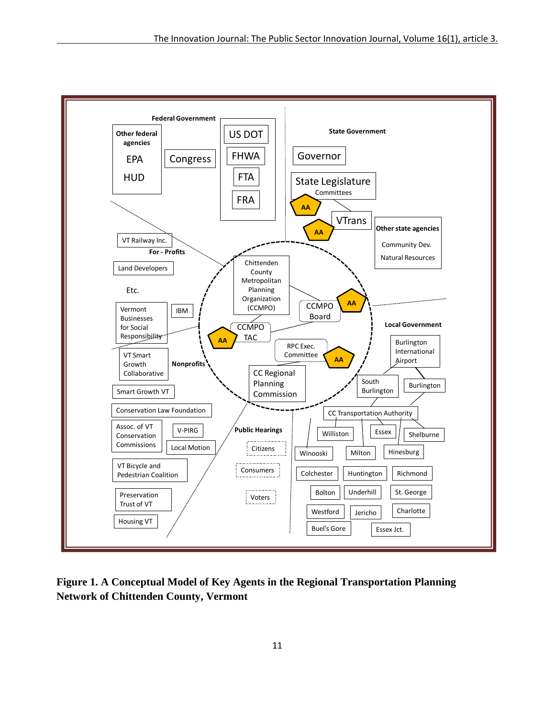

**Figure 1. A Conceptual Model of Key Agents in the Regional Transportation Planning Network of Chittenden County, Vermont**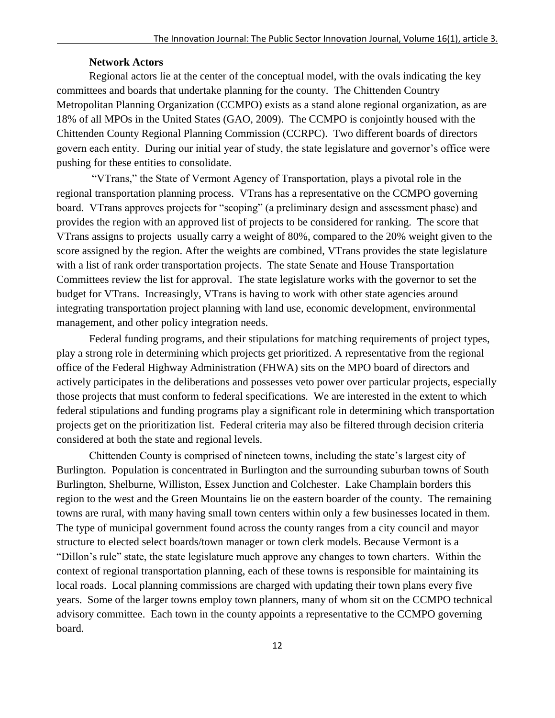#### **Network Actors**

Regional actors lie at the center of the conceptual model, with the ovals indicating the key committees and boards that undertake planning for the county. The Chittenden Country Metropolitan Planning Organization (CCMPO) exists as a stand alone regional organization, as are 18% of all MPOs in the United States (GAO, 2009). The CCMPO is conjointly housed with the Chittenden County Regional Planning Commission (CCRPC). Two different boards of directors govern each entity. During our initial year of study, the state legislature and governor's office were pushing for these entities to consolidate.

―VTrans,‖ the State of Vermont Agency of Transportation, plays a pivotal role in the regional transportation planning process. VTrans has a representative on the CCMPO governing board. VTrans approves projects for "scoping" (a preliminary design and assessment phase) and provides the region with an approved list of projects to be considered for ranking. The score that VTrans assigns to projects usually carry a weight of 80%, compared to the 20% weight given to the score assigned by the region. After the weights are combined, VTrans provides the state legislature with a list of rank order transportation projects. The state Senate and House Transportation Committees review the list for approval. The state legislature works with the governor to set the budget for VTrans. Increasingly, VTrans is having to work with other state agencies around integrating transportation project planning with land use, economic development, environmental management, and other policy integration needs.

Federal funding programs, and their stipulations for matching requirements of project types, play a strong role in determining which projects get prioritized. A representative from the regional office of the Federal Highway Administration (FHWA) sits on the MPO board of directors and actively participates in the deliberations and possesses veto power over particular projects, especially those projects that must conform to federal specifications. We are interested in the extent to which federal stipulations and funding programs play a significant role in determining which transportation projects get on the prioritization list. Federal criteria may also be filtered through decision criteria considered at both the state and regional levels.

Chittenden County is comprised of nineteen towns, including the state's largest city of Burlington. Population is concentrated in Burlington and the surrounding suburban towns of South Burlington, Shelburne, Williston, Essex Junction and Colchester. Lake Champlain borders this region to the west and the Green Mountains lie on the eastern boarder of the county. The remaining towns are rural, with many having small town centers within only a few businesses located in them. The type of municipal government found across the county ranges from a city council and mayor structure to elected select boards/town manager or town clerk models. Because Vermont is a ―Dillon's rule‖ state, the state legislature much approve any changes to town charters. Within the context of regional transportation planning, each of these towns is responsible for maintaining its local roads. Local planning commissions are charged with updating their town plans every five years. Some of the larger towns employ town planners, many of whom sit on the CCMPO technical advisory committee. Each town in the county appoints a representative to the CCMPO governing board.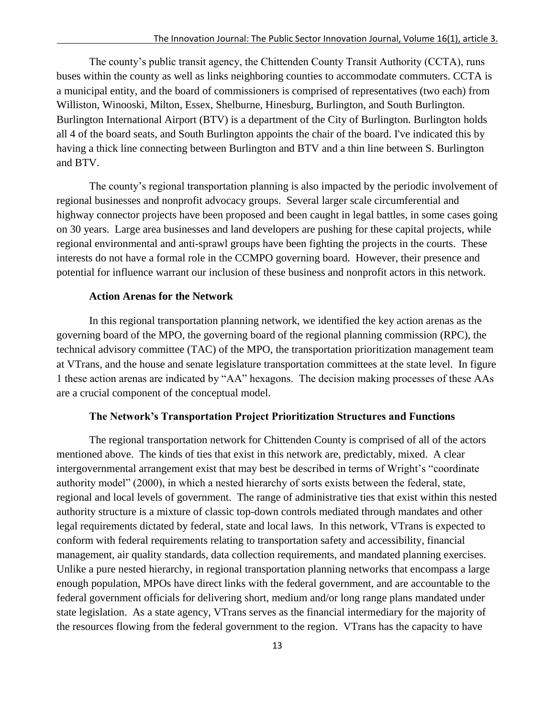The county's public transit agency, the Chittenden County Transit Authority (CCTA), runs buses within the county as well as links neighboring counties to accommodate commuters. CCTA is a municipal entity, and the board of commissioners is comprised of representatives (two each) from Williston, Winooski, Milton, Essex, Shelburne, Hinesburg, Burlington, and South Burlington. Burlington International Airport (BTV) is a department of the City of Burlington. Burlington holds all 4 of the board seats, and South Burlington appoints the chair of the board. I've indicated this by having a thick line connecting between Burlington and BTV and a thin line between S. Burlington and BTV.

The county's regional transportation planning is also impacted by the periodic involvement of regional businesses and nonprofit advocacy groups. Several larger scale circumferential and highway connector projects have been proposed and been caught in legal battles, in some cases going on 30 years. Large area businesses and land developers are pushing for these capital projects, while regional environmental and anti-sprawl groups have been fighting the projects in the courts. These interests do not have a formal role in the CCMPO governing board. However, their presence and potential for influence warrant our inclusion of these business and nonprofit actors in this network.

#### **Action Arenas for the Network**

In this regional transportation planning network, we identified the key action arenas as the governing board of the MPO, the governing board of the regional planning commission (RPC), the technical advisory committee (TAC) of the MPO, the transportation prioritization management team at VTrans, and the house and senate legislature transportation committees at the state level. In figure 1 these action arenas are indicated by "AA" hexagons. The decision making processes of these AAs are a crucial component of the conceptual model.

#### **The Network's Transportation Project Prioritization Structures and Functions**

The regional transportation network for Chittenden County is comprised of all of the actors mentioned above. The kinds of ties that exist in this network are, predictably, mixed. A clear intergovernmental arrangement exist that may best be described in terms of Wright's "coordinate authority model" (2000), in which a nested hierarchy of sorts exists between the federal, state, regional and local levels of government. The range of administrative ties that exist within this nested authority structure is a mixture of classic top-down controls mediated through mandates and other legal requirements dictated by federal, state and local laws. In this network, VTrans is expected to conform with federal requirements relating to transportation safety and accessibility, financial management, air quality standards, data collection requirements, and mandated planning exercises. Unlike a pure nested hierarchy, in regional transportation planning networks that encompass a large enough population, MPOs have direct links with the federal government, and are accountable to the federal government officials for delivering short, medium and/or long range plans mandated under state legislation. As a state agency, VTrans serves as the financial intermediary for the majority of the resources flowing from the federal government to the region. VTrans has the capacity to have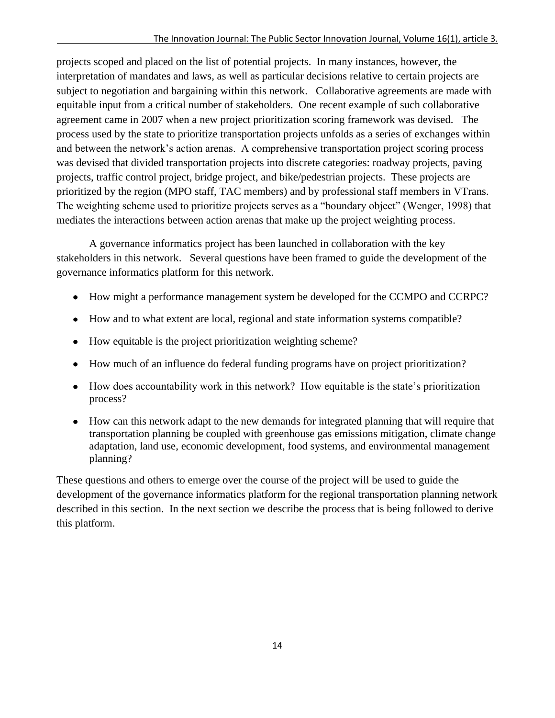projects scoped and placed on the list of potential projects. In many instances, however, the interpretation of mandates and laws, as well as particular decisions relative to certain projects are subject to negotiation and bargaining within this network. Collaborative agreements are made with equitable input from a critical number of stakeholders. One recent example of such collaborative agreement came in 2007 when a new project prioritization scoring framework was devised. The process used by the state to prioritize transportation projects unfolds as a series of exchanges within and between the network's action arenas. A comprehensive transportation project scoring process was devised that divided transportation projects into discrete categories: roadway projects, paving projects, traffic control project, bridge project, and bike/pedestrian projects. These projects are prioritized by the region (MPO staff, TAC members) and by professional staff members in VTrans. The weighting scheme used to prioritize projects serves as a "boundary object" (Wenger, 1998) that mediates the interactions between action arenas that make up the project weighting process.

A governance informatics project has been launched in collaboration with the key stakeholders in this network. Several questions have been framed to guide the development of the governance informatics platform for this network.

- How might a performance management system be developed for the CCMPO and CCRPC?
- How and to what extent are local, regional and state information systems compatible?
- How equitable is the project prioritization weighting scheme?
- How much of an influence do federal funding programs have on project prioritization?
- How does accountability work in this network? How equitable is the state's prioritization process?
- How can this network adapt to the new demands for integrated planning that will require that transportation planning be coupled with greenhouse gas emissions mitigation, climate change adaptation, land use, economic development, food systems, and environmental management planning?

These questions and others to emerge over the course of the project will be used to guide the development of the governance informatics platform for the regional transportation planning network described in this section. In the next section we describe the process that is being followed to derive this platform.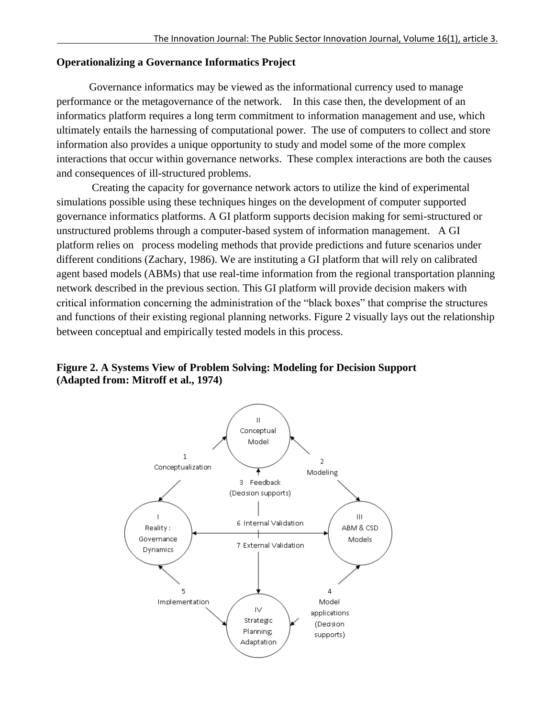## **Operationalizing a Governance Informatics Project**

Governance informatics may be viewed as the informational currency used to manage performance or the metagovernance of the network. In this case then, the development of an informatics platform requires a long term commitment to information management and use, which ultimately entails the harnessing of computational power. The use of computers to collect and store information also provides a unique opportunity to study and model some of the more complex interactions that occur within governance networks. These complex interactions are both the causes and consequences of ill-structured problems.

Creating the capacity for governance network actors to utilize the kind of experimental simulations possible using these techniques hinges on the development of computer supported governance informatics platforms. A GI platform supports decision making for semi-structured or unstructured problems through a computer-based system of information management. A GI platform relies on process modeling methods that provide predictions and future scenarios under different conditions (Zachary, 1986). We are instituting a GI platform that will rely on calibrated agent based models (ABMs) that use real-time information from the regional transportation planning network described in the previous section. This GI platform will provide decision makers with critical information concerning the administration of the "black boxes" that comprise the structures and functions of their existing regional planning networks. Figure 2 visually lays out the relationship between conceptual and empirically tested models in this process.

## **Figure 2. A Systems View of Problem Solving: Modeling for Decision Support (Adapted from: Mitroff et al., 1974)**

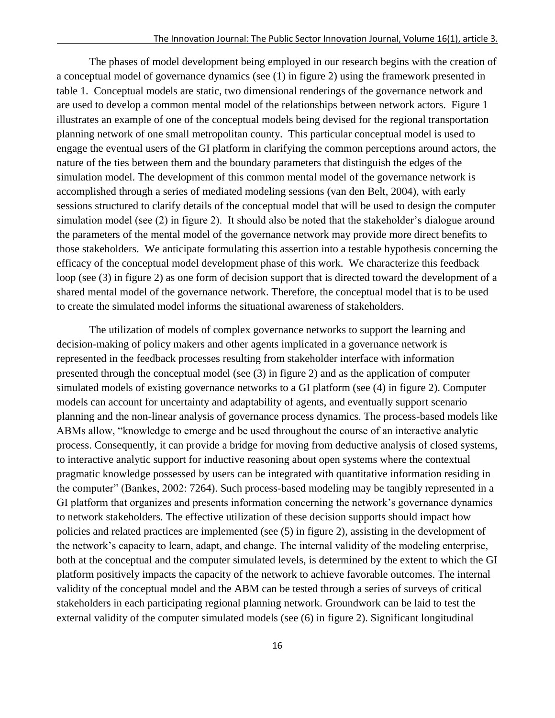The phases of model development being employed in our research begins with the creation of a conceptual model of governance dynamics (see (1) in figure 2) using the framework presented in table 1. Conceptual models are static, two dimensional renderings of the governance network and are used to develop a common mental model of the relationships between network actors. Figure 1 illustrates an example of one of the conceptual models being devised for the regional transportation planning network of one small metropolitan county. This particular conceptual model is used to engage the eventual users of the GI platform in clarifying the common perceptions around actors, the nature of the ties between them and the boundary parameters that distinguish the edges of the simulation model. The development of this common mental model of the governance network is accomplished through a series of mediated modeling sessions (van den Belt, 2004), with early sessions structured to clarify details of the conceptual model that will be used to design the computer simulation model (see (2) in figure 2). It should also be noted that the stakeholder's dialogue around the parameters of the mental model of the governance network may provide more direct benefits to those stakeholders. We anticipate formulating this assertion into a testable hypothesis concerning the efficacy of the conceptual model development phase of this work. We characterize this feedback loop (see (3) in figure 2) as one form of decision support that is directed toward the development of a shared mental model of the governance network. Therefore, the conceptual model that is to be used to create the simulated model informs the situational awareness of stakeholders.

The utilization of models of complex governance networks to support the learning and decision-making of policy makers and other agents implicated in a governance network is represented in the feedback processes resulting from stakeholder interface with information presented through the conceptual model (see (3) in figure 2) and as the application of computer simulated models of existing governance networks to a GI platform (see (4) in figure 2). Computer models can account for uncertainty and adaptability of agents, and eventually support scenario planning and the non-linear analysis of governance process dynamics. The process-based models like ABMs allow, "knowledge to emerge and be used throughout the course of an interactive analytic process. Consequently, it can provide a bridge for moving from deductive analysis of closed systems, to interactive analytic support for inductive reasoning about open systems where the contextual pragmatic knowledge possessed by users can be integrated with quantitative information residing in the computer" (Bankes, 2002: 7264). Such process-based modeling may be tangibly represented in a GI platform that organizes and presents information concerning the network's governance dynamics to network stakeholders. The effective utilization of these decision supports should impact how policies and related practices are implemented (see (5) in figure 2), assisting in the development of the network's capacity to learn, adapt, and change. The internal validity of the modeling enterprise, both at the conceptual and the computer simulated levels, is determined by the extent to which the GI platform positively impacts the capacity of the network to achieve favorable outcomes. The internal validity of the conceptual model and the ABM can be tested through a series of surveys of critical stakeholders in each participating regional planning network. Groundwork can be laid to test the external validity of the computer simulated models (see (6) in figure 2). Significant longitudinal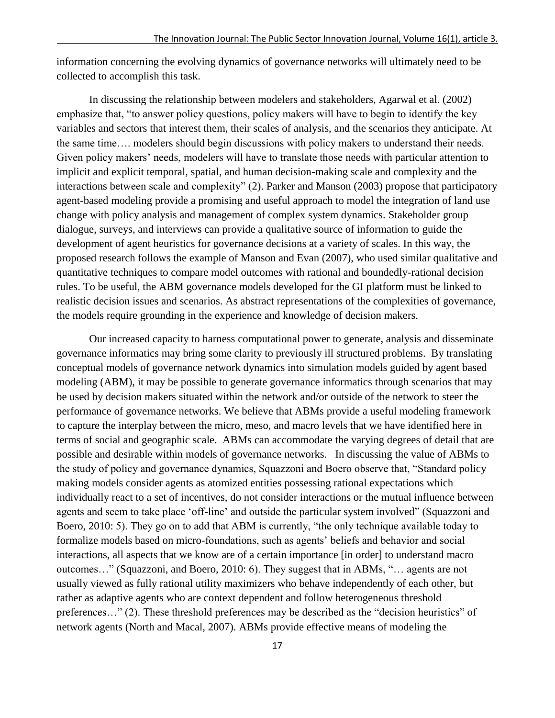information concerning the evolving dynamics of governance networks will ultimately need to be collected to accomplish this task.

In discussing the relationship between modelers and stakeholders, Agarwal et al. (2002) emphasize that, "to answer policy questions, policy makers will have to begin to identify the key variables and sectors that interest them, their scales of analysis, and the scenarios they anticipate. At the same time…. modelers should begin discussions with policy makers to understand their needs. Given policy makers' needs, modelers will have to translate those needs with particular attention to implicit and explicit temporal, spatial, and human decision-making scale and complexity and the interactions between scale and complexity" (2). Parker and Manson (2003) propose that participatory agent-based modeling provide a promising and useful approach to model the integration of land use change with policy analysis and management of complex system dynamics. Stakeholder group dialogue, surveys, and interviews can provide a qualitative source of information to guide the development of agent heuristics for governance decisions at a variety of scales. In this way, the proposed research follows the example of Manson and Evan (2007), who used similar qualitative and quantitative techniques to compare model outcomes with rational and boundedly-rational decision rules. To be useful, the ABM governance models developed for the GI platform must be linked to realistic decision issues and scenarios. As abstract representations of the complexities of governance, the models require grounding in the experience and knowledge of decision makers.

Our increased capacity to harness computational power to generate, analysis and disseminate governance informatics may bring some clarity to previously ill structured problems. By translating conceptual models of governance network dynamics into simulation models guided by agent based modeling (ABM), it may be possible to generate governance informatics through scenarios that may be used by decision makers situated within the network and/or outside of the network to steer the performance of governance networks. We believe that ABMs provide a useful modeling framework to capture the interplay between the micro, meso, and macro levels that we have identified here in terms of social and geographic scale. ABMs can accommodate the varying degrees of detail that are possible and desirable within models of governance networks. In discussing the value of ABMs to the study of policy and governance dynamics, Squazzoni and Boero observe that, "Standard policy making models consider agents as atomized entities possessing rational expectations which individually react to a set of incentives, do not consider interactions or the mutual influence between agents and seem to take place 'off-line' and outside the particular system involved" (Squazzoni and Boero, 2010: 5). They go on to add that ABM is currently, "the only technique available today to formalize models based on micro-foundations, such as agents' beliefs and behavior and social interactions, all aspects that we know are of a certain importance [in order] to understand macro outcomes..." (Squazzoni, and Boero, 2010: 6). They suggest that in ABMs, "... agents are not usually viewed as fully rational utility maximizers who behave independently of each other, but rather as adaptive agents who are context dependent and follow heterogeneous threshold preferences..." (2). These threshold preferences may be described as the "decision heuristics" of network agents (North and Macal, 2007). ABMs provide effective means of modeling the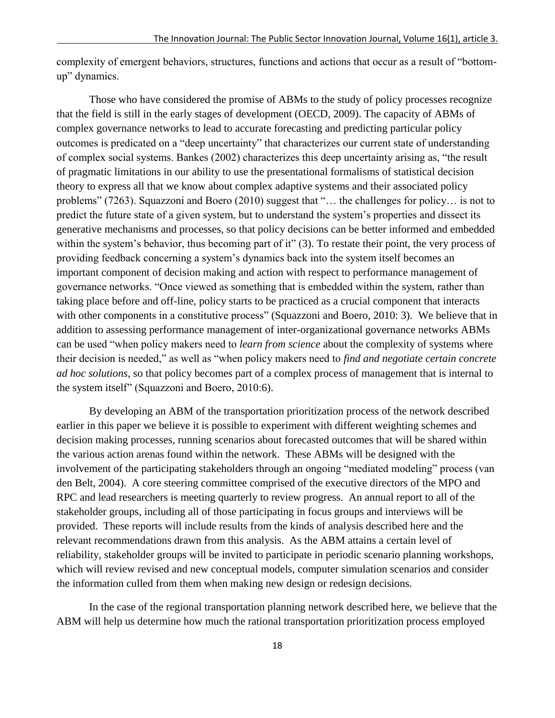complexity of emergent behaviors, structures, functions and actions that occur as a result of "bottomup" dynamics.

Those who have considered the promise of ABMs to the study of policy processes recognize that the field is still in the early stages of development (OECD, 2009). The capacity of ABMs of complex governance networks to lead to accurate forecasting and predicting particular policy outcomes is predicated on a "deep uncertainty" that characterizes our current state of understanding of complex social systems. Bankes (2002) characterizes this deep uncertainty arising as, "the result of pragmatic limitations in our ability to use the presentational formalisms of statistical decision theory to express all that we know about complex adaptive systems and their associated policy problems" (7263). Squazzoni and Boero (2010) suggest that "... the challenges for policy... is not to predict the future state of a given system, but to understand the system's properties and dissect its generative mechanisms and processes, so that policy decisions can be better informed and embedded within the system's behavior, thus becoming part of it" (3). To restate their point, the very process of providing feedback concerning a system's dynamics back into the system itself becomes an important component of decision making and action with respect to performance management of governance networks. "Once viewed as something that is embedded within the system, rather than taking place before and off-line, policy starts to be practiced as a crucial component that interacts with other components in a constitutive process" (Squazzoni and Boero, 2010: 3). We believe that in addition to assessing performance management of inter-organizational governance networks ABMs can be used "when policy makers need to *learn from science* about the complexity of systems where their decision is needed," as well as "when policy makers need to *find and negotiate certain concrete ad hoc solutions*, so that policy becomes part of a complex process of management that is internal to the system itself" (Squazzoni and Boero, 2010:6).

By developing an ABM of the transportation prioritization process of the network described earlier in this paper we believe it is possible to experiment with different weighting schemes and decision making processes, running scenarios about forecasted outcomes that will be shared within the various action arenas found within the network. These ABMs will be designed with the involvement of the participating stakeholders through an ongoing "mediated modeling" process (van den Belt, 2004). A core steering committee comprised of the executive directors of the MPO and RPC and lead researchers is meeting quarterly to review progress. An annual report to all of the stakeholder groups, including all of those participating in focus groups and interviews will be provided. These reports will include results from the kinds of analysis described here and the relevant recommendations drawn from this analysis. As the ABM attains a certain level of reliability, stakeholder groups will be invited to participate in periodic scenario planning workshops, which will review revised and new conceptual models, computer simulation scenarios and consider the information culled from them when making new design or redesign decisions.

In the case of the regional transportation planning network described here, we believe that the ABM will help us determine how much the rational transportation prioritization process employed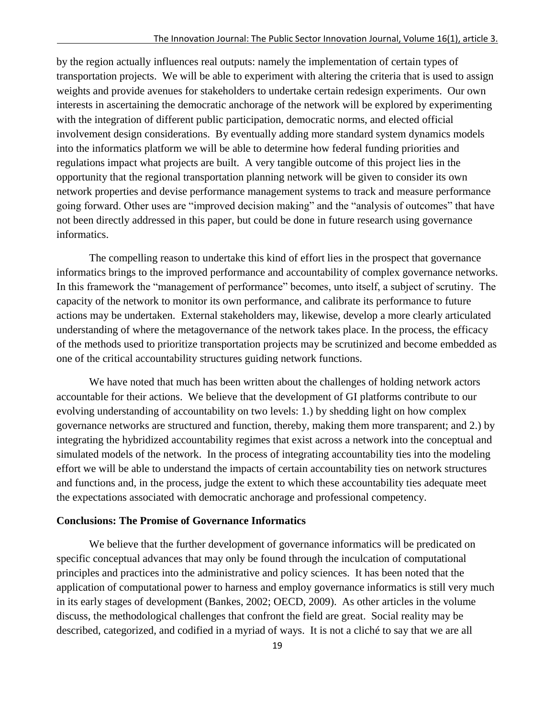by the region actually influences real outputs: namely the implementation of certain types of transportation projects. We will be able to experiment with altering the criteria that is used to assign weights and provide avenues for stakeholders to undertake certain redesign experiments. Our own interests in ascertaining the democratic anchorage of the network will be explored by experimenting with the integration of different public participation, democratic norms, and elected official involvement design considerations. By eventually adding more standard system dynamics models into the informatics platform we will be able to determine how federal funding priorities and regulations impact what projects are built. A very tangible outcome of this project lies in the opportunity that the regional transportation planning network will be given to consider its own network properties and devise performance management systems to track and measure performance going forward. Other uses are "improved decision making" and the "analysis of outcomes" that have not been directly addressed in this paper, but could be done in future research using governance informatics.

The compelling reason to undertake this kind of effort lies in the prospect that governance informatics brings to the improved performance and accountability of complex governance networks. In this framework the "management of performance" becomes, unto itself, a subject of scrutiny. The capacity of the network to monitor its own performance, and calibrate its performance to future actions may be undertaken. External stakeholders may, likewise, develop a more clearly articulated understanding of where the metagovernance of the network takes place. In the process, the efficacy of the methods used to prioritize transportation projects may be scrutinized and become embedded as one of the critical accountability structures guiding network functions.

We have noted that much has been written about the challenges of holding network actors accountable for their actions. We believe that the development of GI platforms contribute to our evolving understanding of accountability on two levels: 1.) by shedding light on how complex governance networks are structured and function, thereby, making them more transparent; and 2.) by integrating the hybridized accountability regimes that exist across a network into the conceptual and simulated models of the network. In the process of integrating accountability ties into the modeling effort we will be able to understand the impacts of certain accountability ties on network structures and functions and, in the process, judge the extent to which these accountability ties adequate meet the expectations associated with democratic anchorage and professional competency.

## **Conclusions: The Promise of Governance Informatics**

We believe that the further development of governance informatics will be predicated on specific conceptual advances that may only be found through the inculcation of computational principles and practices into the administrative and policy sciences. It has been noted that the application of computational power to harness and employ governance informatics is still very much in its early stages of development (Bankes, 2002; OECD, 2009). As other articles in the volume discuss, the methodological challenges that confront the field are great. Social reality may be described, categorized, and codified in a myriad of ways. It is not a cliché to say that we are all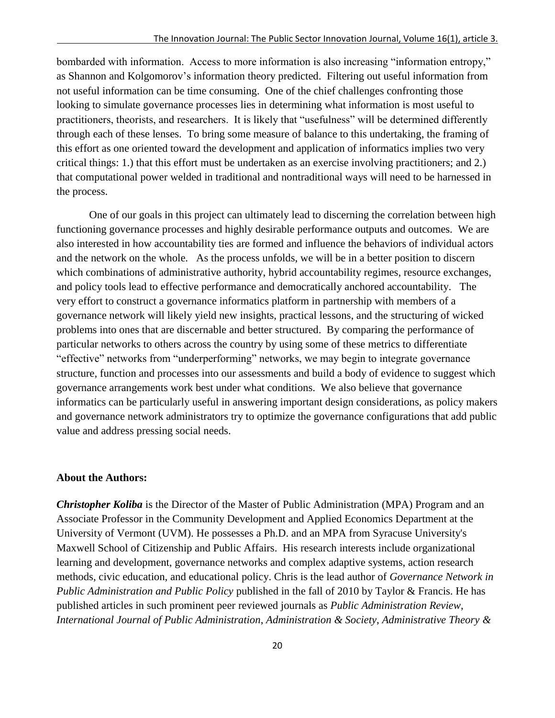bombarded with information. Access to more information is also increasing "information entropy," as Shannon and Kolgomorov's information theory predicted. Filtering out useful information from not useful information can be time consuming. One of the chief challenges confronting those looking to simulate governance processes lies in determining what information is most useful to practitioners, theorists, and researchers. It is likely that "usefulness" will be determined differently through each of these lenses. To bring some measure of balance to this undertaking, the framing of this effort as one oriented toward the development and application of informatics implies two very critical things: 1.) that this effort must be undertaken as an exercise involving practitioners; and 2.) that computational power welded in traditional and nontraditional ways will need to be harnessed in the process.

One of our goals in this project can ultimately lead to discerning the correlation between high functioning governance processes and highly desirable performance outputs and outcomes. We are also interested in how accountability ties are formed and influence the behaviors of individual actors and the network on the whole. As the process unfolds, we will be in a better position to discern which combinations of administrative authority, hybrid accountability regimes, resource exchanges, and policy tools lead to effective performance and democratically anchored accountability. The very effort to construct a governance informatics platform in partnership with members of a governance network will likely yield new insights, practical lessons, and the structuring of wicked problems into ones that are discernable and better structured. By comparing the performance of particular networks to others across the country by using some of these metrics to differentiate "effective" networks from "underperforming" networks, we may begin to integrate governance structure, function and processes into our assessments and build a body of evidence to suggest which governance arrangements work best under what conditions. We also believe that governance informatics can be particularly useful in answering important design considerations, as policy makers and governance network administrators try to optimize the governance configurations that add public value and address pressing social needs.

### **About the Authors:**

*Christopher Koliba* is the Director of the Master of Public Administration (MPA) Program and an Associate Professor in the Community Development and Applied Economics Department at the University of Vermont (UVM). He possesses a Ph.D. and an MPA from Syracuse University's Maxwell School of Citizenship and Public Affairs. His research interests include organizational learning and development, governance networks and complex adaptive systems, action research methods, civic education, and educational policy. Chris is the lead author of *Governance Network in Public Administration and Public Policy* published in the fall of 2010 by Taylor & Francis. He has published articles in such prominent peer reviewed journals as *Public Administration Review*, *International Journal of Public Administration*, *Administration & Society*, *Administrative Theory &*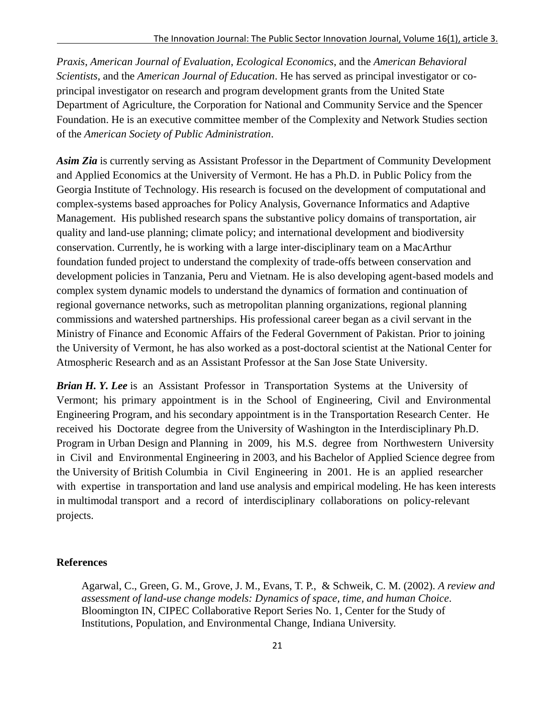*Praxis*, *American Journal of Evaluation*, *Ecological Economics*, and the *American Behavioral Scientists*, and the *American Journal of Education*. He has served as principal investigator or coprincipal investigator on research and program development grants from the United State Department of Agriculture, the Corporation for National and Community Service and the Spencer Foundation. He is an executive committee member of the Complexity and Network Studies section of the *American Society of Public Administration*.

*Asim Zia* is currently serving as Assistant Professor in the [Department of Community Development](http://www.uvm.edu/cdae)  [and Applied Economics](http://www.uvm.edu/cdae) at the University of Vermont. He has a Ph.D. in Public Policy from the Georgia Institute of Technology. His research is focused on the development of computational and complex-systems based approaches for Policy Analysis, Governance Informatics and Adaptive Management. His published research spans the substantive policy domains of transportation, air quality and land-use planning; climate policy; and international development and biodiversity conservation. Currently, he is working with a large inter-disciplinary team on a MacArthur foundation funded project to understand the complexity of trade-offs between conservation and development policies in Tanzania, Peru and Vietnam. He is also developing agent-based models and complex system dynamic models to understand the dynamics of formation and continuation of regional governance networks, such as metropolitan planning organizations, regional planning commissions and watershed partnerships. His professional career began as a civil servant in the Ministry of Finance and Economic Affairs of the Federal Government of Pakistan. Prior to joining the University of Vermont, he has also worked as a post-doctoral scientist at the National Center for Atmospheric Research and as an Assistant Professor at the San Jose State University.

*Brian H. Y. Lee* is an Assistant Professor in Transportation Systems at the University of Vermont; his primary appointment is in the School of Engineering, Civil and Environmental Engineering Program, and his secondary appointment is in the Transportation Research Center. He received his Doctorate degree from the University of Washington in the Interdisciplinary Ph.D. Program in Urban Design and Planning in 2009, his M.S. degree from Northwestern University in Civil and Environmental Engineering in 2003, and his Bachelor of Applied Science degree from the University of British Columbia in Civil Engineering in 2001. He is an applied researcher with expertise in transportation and land use analysis and empirical modeling. He has keen interests in multimodal transport and a record of interdisciplinary collaborations on policy-relevant projects.

## **References**

Agarwal, C., Green, G. M., Grove, J. M., Evans, T. P., & Schweik, C. M. (2002). *A review and assessment of land-use change models: Dynamics of space, time, and human Choice*. Bloomington IN, CIPEC Collaborative Report Series No. 1, Center for the Study of Institutions, Population, and Environmental Change, Indiana University.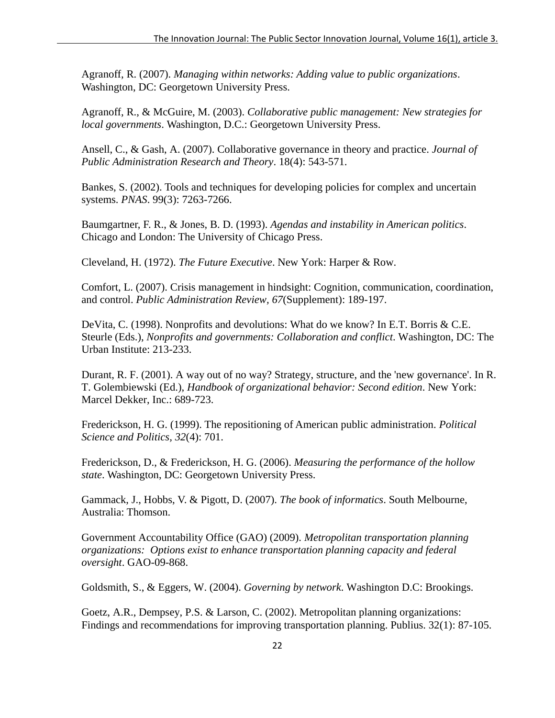Agranoff, R. (2007). *Managing within networks: Adding value to public organizations*. Washington, DC: Georgetown University Press.

Agranoff, R., & McGuire, M. (2003). *Collaborative public management: New strategies for local governments*. Washington, D.C.: Georgetown University Press.

Ansell, C., & Gash, A. (2007). Collaborative governance in theory and practice. *Journal of Public Administration Research and Theory*. 18(4): 543-571.

Bankes, S. (2002). Tools and techniques for developing policies for complex and uncertain systems. *PNAS*. 99(3): 7263-7266.

Baumgartner, F. R., & Jones, B. D. (1993). *Agendas and instability in American politics*. Chicago and London: The University of Chicago Press.

Cleveland, H. (1972). *The Future Executive*. New York: Harper & Row.

Comfort, L. (2007). Crisis management in hindsight: Cognition, communication, coordination, and control. *Public Administration Review, 67*(Supplement): 189-197.

DeVita, C. (1998). Nonprofits and devolutions: What do we know? In E.T. Borris & C.E. Steurle (Eds.), *Nonprofits and governments: Collaboration and conflict*. Washington, DC: The Urban Institute: 213-233.

Durant, R. F. (2001). A way out of no way? Strategy, structure, and the 'new governance'. In R. T. Golembiewski (Ed.), *Handbook of organizational behavior: Second edition*. New York: Marcel Dekker, Inc.: 689-723.

Frederickson, H. G. (1999). The repositioning of American public administration. *Political Science and Politics, 32*(4): 701.

Frederickson, D., & Frederickson, H. G. (2006). *Measuring the performance of the hollow state*. Washington, DC: Georgetown University Press.

Gammack, J., Hobbs, V. & Pigott, D. (2007). *The book of informatics*. South Melbourne, Australia: Thomson.

Government Accountability Office (GAO) (2009). *Metropolitan transportation planning organizations: Options exist to enhance transportation planning capacity and federal oversight*. GAO-09-868.

Goldsmith, S., & Eggers, W. (2004). *Governing by network*. Washington D.C: Brookings.

Goetz, A.R., Dempsey, P.S. & Larson, C. (2002). Metropolitan planning organizations: Findings and recommendations for improving transportation planning. Publius. 32(1): 87-105.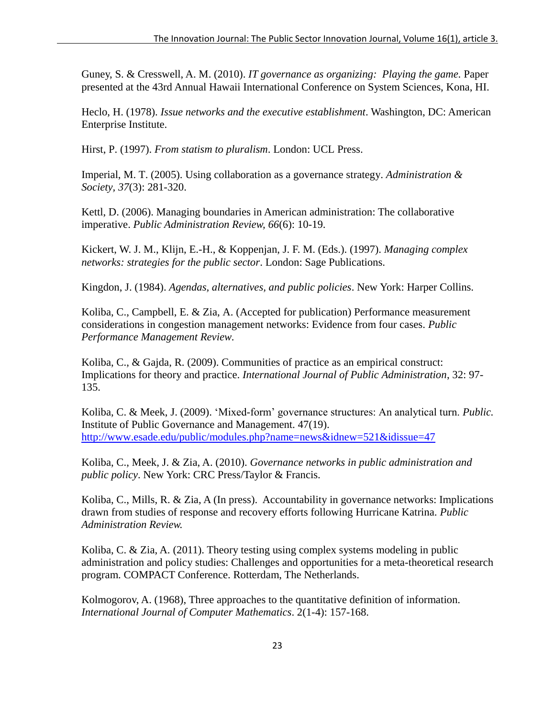Guney, S. & Cresswell, A. M. (2010). *IT governance as organizing: Playing the game.* Paper presented at the 43rd Annual Hawaii International Conference on System Sciences, Kona, HI.

Heclo, H. (1978). *Issue networks and the executive establishment*. Washington, DC: American Enterprise Institute.

Hirst, P. (1997). *From statism to pluralism*. London: UCL Press.

Imperial, M. T. (2005). Using collaboration as a governance strategy. *Administration & Society, 37*(3): 281-320.

Kettl, D. (2006). Managing boundaries in American administration: The collaborative imperative. *Public Administration Review, 66*(6): 10-19.

Kickert, W. J. M., Klijn, E.-H., & Koppenjan, J. F. M. (Eds.). (1997). *Managing complex networks: strategies for the public sector*. London: Sage Publications.

Kingdon, J. (1984). *Agendas, alternatives, and public policies*. New York: Harper Collins.

Koliba, C., Campbell, E. & Zia, A. (Accepted for publication) Performance measurement considerations in congestion management networks: Evidence from four cases. *Public Performance Management Review.*

Koliba, C., & Gajda, R. (2009). Communities of practice as an empirical construct: Implications for theory and practice. *International Journal of Public Administration*, 32: 97- 135.

Koliba, C. & Meek, J. (2009). 'Mixed-form' governance structures: An analytical turn. *Public*. Institute of Public Governance and Management. 47(19). <http://www.esade.edu/public/modules.php?name=news&idnew=521&idissue=47>

Koliba, C., Meek, J. & Zia, A. (2010). *Governance networks in public administration and public policy*. New York: CRC Press/Taylor & Francis.

Koliba, C., Mills, R. & Zia, A (In press). Accountability in governance networks: Implications drawn from studies of response and recovery efforts following Hurricane Katrina. *Public Administration Review.*

Koliba, C. & Zia, A. (2011). Theory testing using complex systems modeling in public administration and policy studies: Challenges and opportunities for a meta-theoretical research program. COMPACT Conference. Rotterdam, The Netherlands.

[Kolmogorov,](http://en.wikipedia.org/wiki/Andrey_Kolmogorov) A. (1968), Three approaches to the quantitative definition of information. *International Journal of Computer Mathematics*. 2(1-4): 157-168.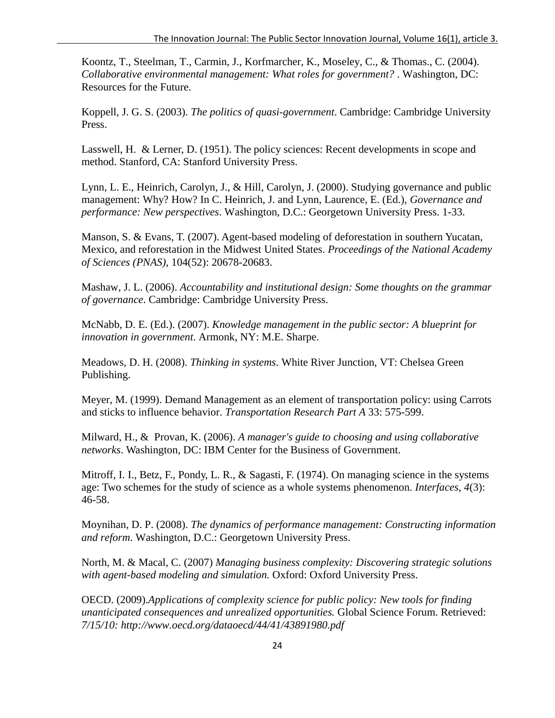Koontz, T., Steelman, T., Carmin, J., Korfmarcher, K., Moseley, C., & Thomas., C. (2004). *Collaborative environmental management: What roles for government?* . Washington, DC: Resources for the Future.

Koppell, J. G. S. (2003). *The politics of quasi-government*. Cambridge: Cambridge University Press.

Lasswell, H. & Lerner, D. (1951). The policy sciences: Recent developments in scope and method. Stanford, CA: Stanford University Press.

Lynn, L. E., Heinrich, Carolyn, J., & Hill, Carolyn, J. (2000). Studying governance and public management: Why? How? In C. Heinrich, J. and Lynn, Laurence, E. (Ed.), *Governance and performance: New perspectives*. Washington, D.C.: Georgetown University Press. 1-33.

Manson, S. & Evans, T. (2007). Agent-based modeling of deforestation in southern Yucatan, Mexico, and reforestation in the Midwest United States. *Proceedings of the National Academy of Sciences (PNAS),* 104(52): 20678-20683.

Mashaw, J. L. (2006). *Accountability and institutional design: Some thoughts on the grammar of governance*. Cambridge: Cambridge University Press.

McNabb, D. E. (Ed.). (2007). *Knowledge management in the public sector: A blueprint for innovation in government*. Armonk, NY: M.E. Sharpe.

Meadows, D. H. (2008). *Thinking in systems*. White River Junction, VT: Chelsea Green Publishing.

Meyer, M. (1999). Demand Management as an element of transportation policy: using Carrots and sticks to influence behavior. *Transportation Research Part A* 33: 575-599.

Milward, H., & Provan, K. (2006). *A manager's guide to choosing and using collaborative networks*. Washington, DC: IBM Center for the Business of Government.

Mitroff, I. I., Betz, F., Pondy, L. R., & Sagasti, F. (1974). On managing science in the systems age: Two schemes for the study of science as a whole systems phenomenon. *Interfaces, 4*(3): 46-58.

Moynihan, D. P. (2008). *The dynamics of performance management: Constructing information and reform*. Washington, D.C.: Georgetown University Press.

North, M. & Macal, C. (2007) *Managing business complexity: Discovering strategic solutions with agent-based modeling and simulation.* Oxford: Oxford University Press.

OECD. (2009).*Applications of complexity science for public policy: New tools for finding unanticipated consequences and unrealized opportunities.* Global Science Forum. Retrieved: *7/15/10: http://www.oecd.org/dataoecd/44/41/43891980.pdf*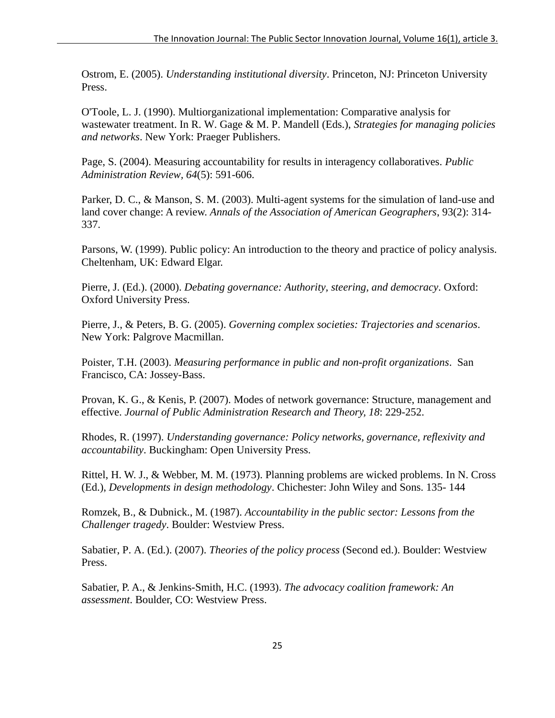Ostrom, E. (2005). *Understanding institutional diversity*. Princeton, NJ: Princeton University Press.

O'Toole, L. J. (1990). Multiorganizational implementation: Comparative analysis for wastewater treatment. In R. W. Gage & M. P. Mandell (Eds.), *Strategies for managing policies and networks*. New York: Praeger Publishers.

Page, S. (2004). Measuring accountability for results in interagency collaboratives. *Public Administration Review, 64*(5): 591-606.

Parker, D. C., & Manson, S. M. (2003). Multi-agent systems for the simulation of land-use and land cover change: A review. *Annals of the Association of American Geographers*, 93(2): 314- 337.

Parsons, W. (1999). Public policy: An introduction to the theory and practice of policy analysis. Cheltenham, UK: Edward Elgar.

Pierre, J. (Ed.). (2000). *Debating governance: Authority, steering, and democracy*. Oxford: Oxford University Press.

Pierre, J., & Peters, B. G. (2005). *Governing complex societies: Trajectories and scenarios*. New York: Palgrove Macmillan.

Poister, T.H. (2003). *Measuring performance in public and non-profit organizations*. San Francisco, CA: Jossey-Bass.

Provan, K. G., & Kenis, P. (2007). Modes of network governance: Structure, management and effective. *Journal of Public Administration Research and Theory, 18*: 229-252.

Rhodes, R. (1997). *Understanding governance: Policy networks, governance, reflexivity and accountability*. Buckingham: Open University Press.

Rittel, H. W. J., & Webber, M. M. (1973). Planning problems are wicked problems. In N. Cross (Ed.), *Developments in design methodology*. Chichester: John Wiley and Sons. 135- 144

Romzek, B., & Dubnick., M. (1987). *Accountability in the public sector: Lessons from the Challenger tragedy*. Boulder: Westview Press.

Sabatier, P. A. (Ed.). (2007). *Theories of the policy process* (Second ed.). Boulder: Westview Press.

Sabatier, P. A., & Jenkins-Smith, H.C. (1993). *The advocacy coalition framework: An assessment*. Boulder, CO: Westview Press.